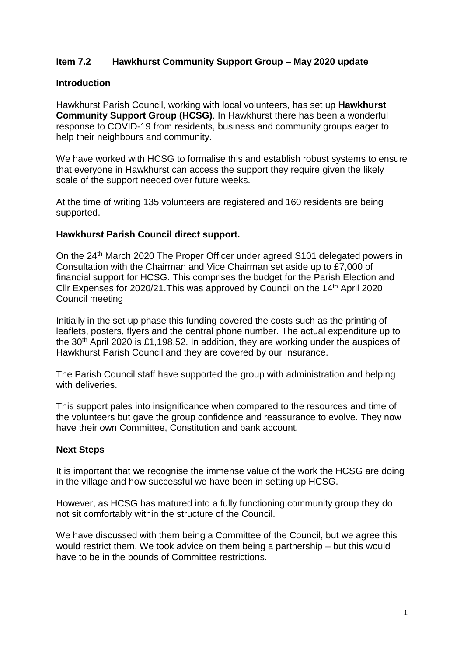## **Item 7.2 Hawkhurst Community Support Group – May 2020 update**

#### **Introduction**

Hawkhurst Parish Council, working with local volunteers, has set up **Hawkhurst Community Support Group (HCSG)**. In Hawkhurst there has been a wonderful response to COVID-19 from residents, business and community groups eager to help their neighbours and community.

We have worked with HCSG to formalise this and establish robust systems to ensure that everyone in Hawkhurst can access the support they require given the likely scale of the support needed over future weeks.

At the time of writing 135 volunteers are registered and 160 residents are being supported.

#### **Hawkhurst Parish Council direct support.**

On the 24<sup>th</sup> March 2020 The Proper Officer under agreed S101 delegated powers in Consultation with the Chairman and Vice Chairman set aside up to £7,000 of financial support for HCSG. This comprises the budget for the Parish Election and Cllr Expenses for 2020/21.This was approved by Council on the 14th April 2020 Council meeting

Initially in the set up phase this funding covered the costs such as the printing of leaflets, posters, flyers and the central phone number. The actual expenditure up to the  $30<sup>th</sup>$  April 2020 is £1,198.52. In addition, they are working under the auspices of Hawkhurst Parish Council and they are covered by our Insurance.

The Parish Council staff have supported the group with administration and helping with deliveries.

This support pales into insignificance when compared to the resources and time of the volunteers but gave the group confidence and reassurance to evolve. They now have their own Committee, Constitution and bank account.

### **Next Steps**

It is important that we recognise the immense value of the work the HCSG are doing in the village and how successful we have been in setting up HCSG.

However, as HCSG has matured into a fully functioning community group they do not sit comfortably within the structure of the Council.

We have discussed with them being a Committee of the Council, but we agree this would restrict them. We took advice on them being a partnership – but this would have to be in the bounds of Committee restrictions.